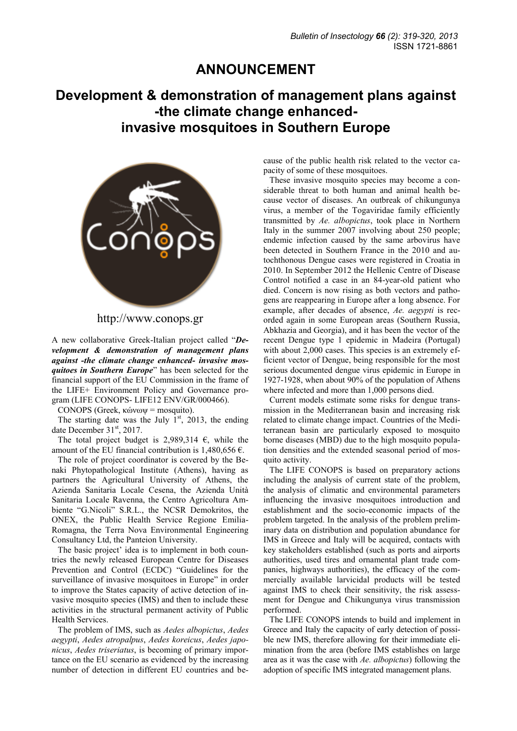## **ANNOUNCEMENT**

## **Development & demonstration of management plans against -the climate change enhancedinvasive mosquitoes in Southern Europe**



http://www.conops.gr

A new collaborative Greek-Italian project called "*Development & demonstration of management plans against -the climate change enhanced- invasive mosquitoes in Southern Europe*" has been selected for the financial support of the EU Commission in the frame of the LIFE+ Environment Policy and Governance program (LIFE CONOPS- LIFE12 ENV/GR/000466).

CONOPS (Greek, κώνωψ = mosquito).

The starting date was the July  $1<sup>st</sup>$ , 2013, the ending date December 31<sup>st</sup>, 2017.

The total project budget is 2,989,314  $\epsilon$ , while the amount of the EU financial contribution is 1,480,656  $\epsilon$ .

The role of project coordinator is covered by the Benaki Phytopathological Institute (Athens), having as partners the Agricultural University of Athens, the Azienda Sanitaria Locale Cesena, the Azienda Unità Sanitaria Locale Ravenna, the Centro Agricoltura Ambiente "G.Nicoli" S.R.L., the NCSR Demokritos, the ONEX, the Public Health Service Regione Emilia-Romagna, the Terra Nova Environmental Engineering Consultancy Ltd, the Panteion University.

The basic project' idea is to implement in both countries the newly released European Centre for Diseases Prevention and Control (ECDC) "Guidelines for the surveillance of invasive mosquitoes in Europe" in order to improve the States capacity of active detection of invasive mosquito species (IMS) and then to include these activities in the structural permanent activity of Public Health Services.

The problem of IMS, such as *Aedes albopictus*, *Aedes aegypti*, *Aedes atropalpus*, *Aedes koreicus*, *Aedes japonicus*, *Aedes triseriatus*, is becoming of primary importance on the EU scenario as evidenced by the increasing number of detection in different EU countries and because of the public health risk related to the vector capacity of some of these mosquitoes.

These invasive mosquito species may become a considerable threat to both human and animal health because vector of diseases. An outbreak of chikungunya virus, a member of the Togaviridae family efficiently transmitted by *Ae. albopictus*, took place in Northern Italy in the summer 2007 involving about 250 people; endemic infection caused by the same arbovirus have been detected in Southern France in the 2010 and autochthonous Dengue cases were registered in Croatia in 2010. In September 2012 the Hellenic Centre of Disease Control notified a case in an 84-year-old patient who died. Concern is now rising as both vectors and pathogens are reappearing in Europe after a long absence. For example, after decades of absence, *Ae. aegypti* is recorded again in some European areas (Southern Russia, Abkhazia and Georgia), and it has been the vector of the recent Dengue type 1 epidemic in Madeira (Portugal) with about 2,000 cases. This species is an extremely efficient vector of Dengue, being responsible for the most serious documented dengue virus epidemic in Europe in 1927-1928, when about 90% of the population of Athens where infected and more than 1,000 persons died.

Current models estimate some risks for dengue transmission in the Mediterranean basin and increasing risk related to climate change impact. Countries of the Mediterranean basin are particularly exposed to mosquito borne diseases (MBD) due to the high mosquito population densities and the extended seasonal period of mosquito activity.

The LIFE CONOPS is based on preparatory actions including the analysis of current state of the problem, the analysis of climatic and environmental parameters influencing the invasive mosquitoes introduction and establishment and the socio-economic impacts of the problem targeted. In the analysis of the problem preliminary data on distribution and population abundance for IMS in Greece and Italy will be acquired, contacts with key stakeholders established (such as ports and airports authorities, used tires and ornamental plant trade companies, highways authorities), the efficacy of the commercially available larvicidal products will be tested against IMS to check their sensitivity, the risk assessment for Dengue and Chikungunya virus transmission performed.

The LIFE CONOPS intends to build and implement in Greece and Italy the capacity of early detection of possible new IMS, therefore allowing for their immediate elimination from the area (before IMS establishes on large area as it was the case with *Ae. albopictus*) following the adoption of specific IMS integrated management plans.